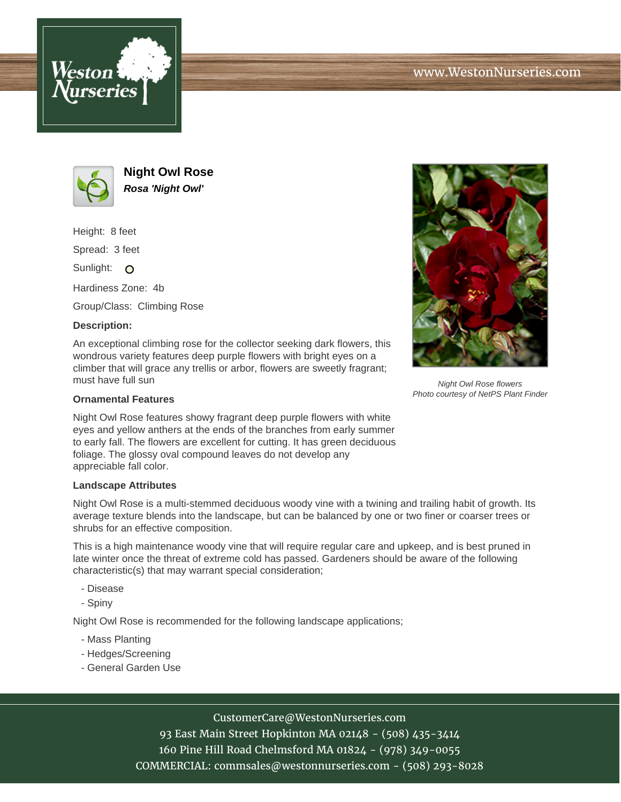



**Night Owl Rose Rosa 'Night Owl'**

Height: 8 feet

Spread: 3 feet

Sunlight: O

Hardiness Zone: 4b

Group/Class: Climbing Rose

## **Description:**

An exceptional climbing rose for the collector seeking dark flowers, this wondrous variety features deep purple flowers with bright eyes on a climber that will grace any trellis or arbor, flowers are sweetly fragrant; must have full sun

## **Ornamental Features**

Night Owl Rose features showy fragrant deep purple flowers with white eyes and yellow anthers at the ends of the branches from early summer to early fall. The flowers are excellent for cutting. It has green deciduous foliage. The glossy oval compound leaves do not develop any appreciable fall color.

## **Landscape Attributes**

Night Owl Rose is a multi-stemmed deciduous woody vine with a twining and trailing habit of growth. Its average texture blends into the landscape, but can be balanced by one or two finer or coarser trees or shrubs for an effective composition.

This is a high maintenance woody vine that will require regular care and upkeep, and is best pruned in late winter once the threat of extreme cold has passed. Gardeners should be aware of the following characteristic(s) that may warrant special consideration;

- Disease
- Spiny

Night Owl Rose is recommended for the following landscape applications;

- Mass Planting
- Hedges/Screening
- General Garden Use



Night Owl Rose flowers Photo courtesy of NetPS Plant Finder

CustomerCare@WestonNurseries.com

93 East Main Street Hopkinton MA 02148 - (508) 435-3414 160 Pine Hill Road Chelmsford MA 01824 - (978) 349-0055 COMMERCIAL: commsales@westonnurseries.com - (508) 293-8028